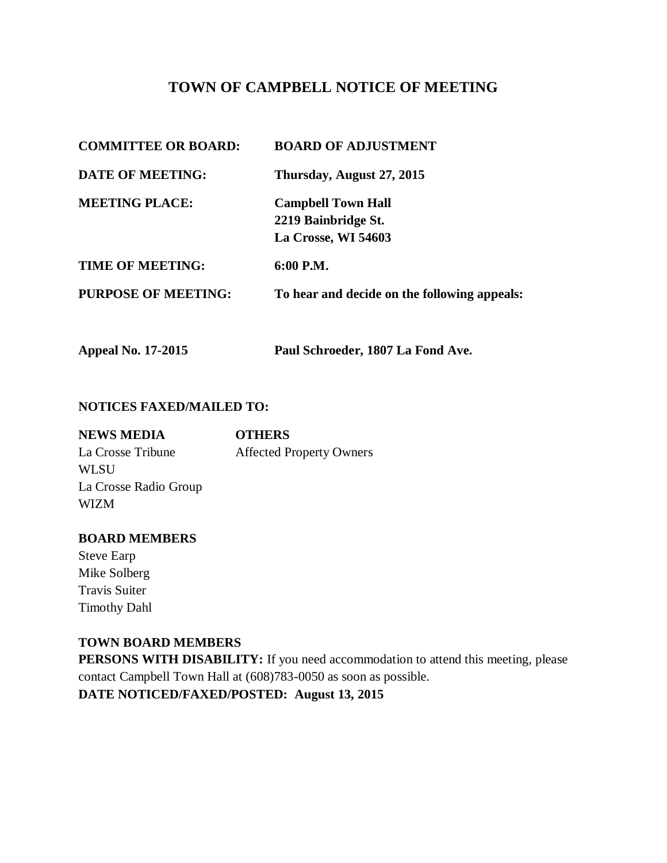# **TOWN OF CAMPBELL NOTICE OF MEETING**

**Appeal No. 17-2015 Paul Schroeder, 1807 La Fond Ave.** 

#### **NOTICES FAXED/MAILED TO:**

| <b>OTHERS</b>                   |
|---------------------------------|
| <b>Affected Property Owners</b> |
|                                 |
|                                 |
|                                 |
|                                 |

### **BOARD MEMBERS**

Steve Earp Mike Solberg Travis Suiter Timothy Dahl

## **TOWN BOARD MEMBERS**

**PERSONS WITH DISABILITY:** If you need accommodation to attend this meeting, please contact Campbell Town Hall at (608)783-0050 as soon as possible.

**DATE NOTICED/FAXED/POSTED: August 13, 2015**